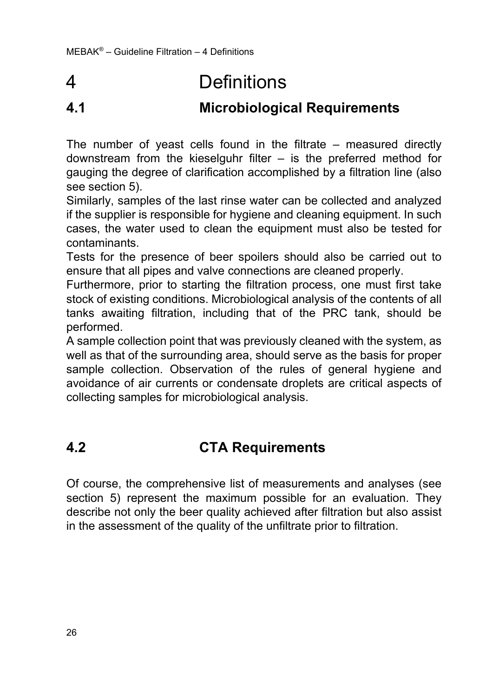## 4 Definitions

## **4.1 Microbiological Requirements**

The number of yeast cells found in the filtrate – measured directly downstream from the kieselguhr filter – is the preferred method for gauging the degree of clarification accomplished by a filtration line (also see section 5).

Similarly, samples of the last rinse water can be collected and analyzed if the supplier is responsible for hygiene and cleaning equipment. In such cases, the water used to clean the equipment must also be tested for contaminants.

Tests for the presence of beer spoilers should also be carried out to ensure that all pipes and valve connections are cleaned properly.

Furthermore, prior to starting the filtration process, one must first take stock of existing conditions. Microbiological analysis of the contents of all tanks awaiting filtration, including that of the PRC tank, should be performed.

A sample collection point that was previously cleaned with the system, as well as that of the surrounding area, should serve as the basis for proper sample collection. Observation of the rules of general hygiene and avoidance of air currents or condensate droplets are critical aspects of collecting samples for microbiological analysis.

## **4.2 CTA Requirements**

Of course, the comprehensive list of measurements and analyses (see section 5) represent the maximum possible for an evaluation. They describe not only the beer quality achieved after filtration but also assist in the assessment of the quality of the unfiltrate prior to filtration.